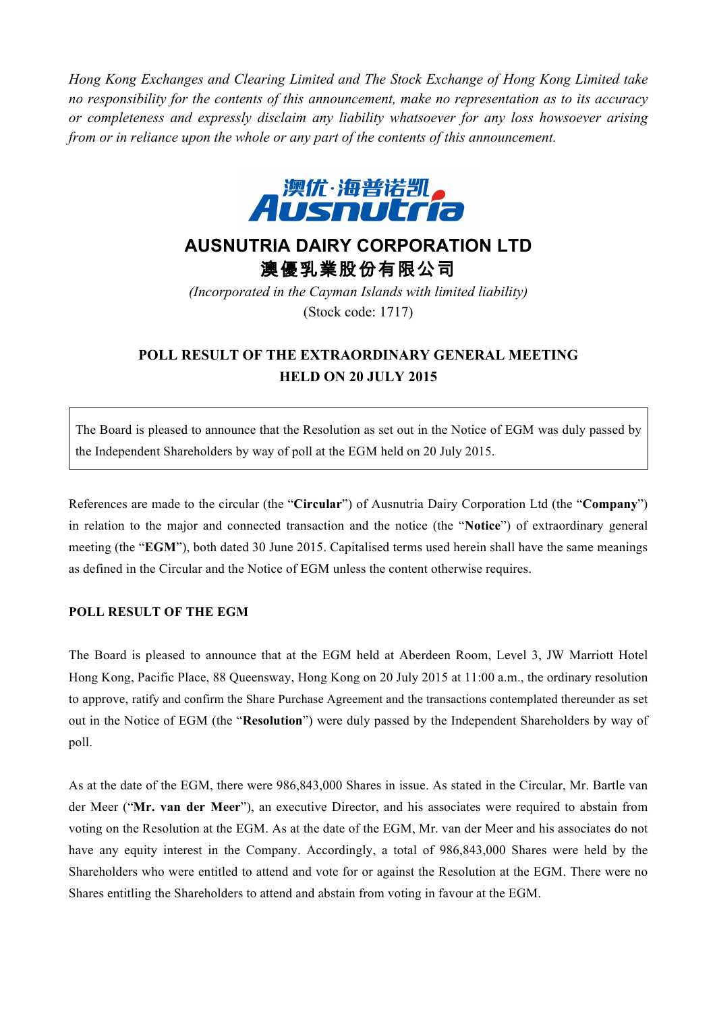*Hong Kong Exchanges and Clearing Limited and The Stock Exchange of Hong Kong Limited take no responsibility for the contents of this announcement, make no representation as to its accuracy or completeness and expressly disclaim any liability whatsoever for any loss howsoever arising from or in reliance upon the whole or any part of the contents of this announcement.*



## **AUSNUTRIA DAIRY CORPORATION LTD** 澳優乳業股份有限公司

*(Incorporated in the Cayman Islands with limited liability)* (Stock code: 1717)

## **POLL RESULT OF THE EXTRAORDINARY GENERAL MEETING HELD ON 20 JULY 2015**

The Board is pleased to announce that the Resolution as set out in the Notice of EGM was duly passed by the Independent Shareholders by way of poll at the EGM held on 20 July 2015.

References are made to the circular (the "**Circular**") of Ausnutria Dairy Corporation Ltd (the "**Company**") in relation to the major and connected transaction and the notice (the "**Notice**") of extraordinary general meeting (the "**EGM**"), both dated 30 June 2015. Capitalised terms used herein shall have the same meanings as defined in the Circular and the Notice of EGM unless the content otherwise requires.

## **POLL RESULT OF THE EGM**

The Board is pleased to announce that at the EGM held at Aberdeen Room, Level 3, JW Marriott Hotel Hong Kong, Pacific Place, 88 Queensway, Hong Kong on 20 July 2015 at 11:00 a.m., the ordinary resolution to approve, ratify and confirm the Share Purchase Agreement and the transactions contemplated thereunder as set out in the Notice of EGM (the "**Resolution**") were duly passed by the Independent Shareholders by way of poll.

As at the date of the EGM, there were 986,843,000 Shares in issue. As stated in the Circular, Mr. Bartle van der Meer ("**Mr. van der Meer**"), an executive Director, and his associates were required to abstain from voting on the Resolution at the EGM. As at the date of the EGM, Mr. van der Meer and his associates do not have any equity interest in the Company. Accordingly, a total of 986,843,000 Shares were held by the Shareholders who were entitled to attend and vote for or against the Resolution at the EGM. There were no Shares entitling the Shareholders to attend and abstain from voting in favour at the EGM.